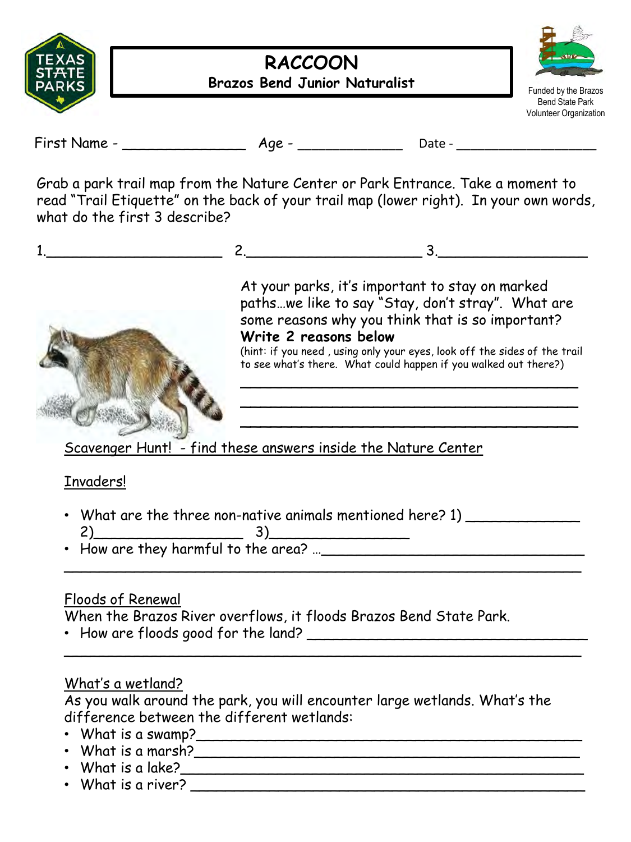

### **RACCOON Brazos Bend Junior Naturalist**



Funded by the Brazos Bend State Park Volunteer Organization

First Name - \_\_\_\_\_\_\_\_\_\_\_\_\_\_ Age - \_\_\_\_\_\_\_\_\_\_\_\_\_\_\_ Date - \_\_\_\_\_\_\_\_\_\_\_\_\_\_\_\_\_\_\_\_

Grab a park trail map from the Nature Center or Park Entrance. Take a moment to read "Trail Etiquette" on the back of your trail map (lower right). In your own words, what do the first 3 describe?





At your parks, it's important to stay on marked paths…we like to say "Stay, don't stray". What are some reasons why you think that is so important? **Write 2 reasons below**  (hint: if you need , using only your eyes, look off the sides of the trail

to see what's there. What could happen if you walked out there?)

\_\_\_\_\_\_\_\_\_\_\_\_\_\_\_\_\_\_\_\_\_\_\_\_\_\_\_\_\_\_\_\_\_ \_\_\_\_\_\_\_\_\_\_\_\_\_\_\_\_\_\_\_\_\_\_\_\_\_\_\_\_\_\_\_\_\_ \_\_\_\_\_\_\_\_\_\_\_\_\_\_\_\_\_\_\_\_\_\_\_\_\_\_\_\_\_\_\_\_\_

Scavenger Hunt! - find these answers inside the Nature Center

#### Invaders!

• What are the three non-native animals mentioned here? 1) 2)\_\_\_\_\_\_\_\_\_\_\_\_\_\_\_\_\_ 3)\_\_\_\_\_\_\_\_\_\_\_\_\_\_\_\_

 $\overline{\phantom{a}}$ 

 $\overline{\phantom{a}}$ 

• How are they harmful to the area? …\_\_\_\_\_\_\_\_\_\_\_\_\_\_\_\_\_\_\_\_\_\_\_\_\_\_\_\_\_\_

# Floods of Renewal

When the Brazos River overflows, it floods Brazos Bend State Park.

• How are floods good for the land? \_\_\_\_\_\_\_\_\_\_\_\_\_\_\_\_\_\_\_\_\_\_\_\_\_\_\_\_\_\_\_\_

# What's a wetland?

As you walk around the park, you will encounter large wetlands. What's the difference between the different wetlands:

- What is a swamp?\_\_\_\_\_\_\_\_\_\_\_\_\_\_\_\_\_\_\_\_\_\_\_\_\_\_\_\_\_\_\_\_\_\_\_\_\_\_\_\_\_\_\_\_
- What is a marsh? $\blacksquare$
- What is a lake?  $\overline{\phantom{a}}$
- What is a river?